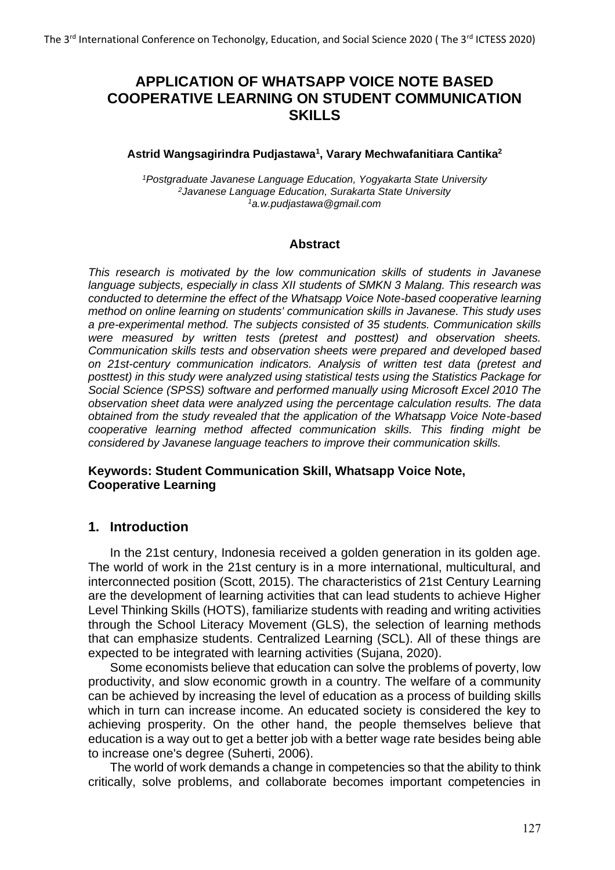# **APPLICATION OF WHATSAPP VOICE NOTE BASED COOPERATIVE LEARNING ON STUDENT COMMUNICATION SKILLS**

#### **Astrid Wangsagirindra Pudjastawa<sup>1</sup> , Varary Mechwafanitiara Cantika<sup>2</sup>**

*<sup>1</sup>Postgraduate Javanese Language Education, Yogyakarta State University <sup>2</sup>Javanese Language Education, Surakarta State University <sup>1</sup>a.w.pudjastawa@gmail.com*

#### **Abstract**

*This research is motivated by the low communication skills of students in Javanese language subjects, especially in class XII students of SMKN 3 Malang. This research was conducted to determine the effect of the Whatsapp Voice Note-based cooperative learning method on online learning on students' communication skills in Javanese. This study uses a pre-experimental method. The subjects consisted of 35 students. Communication skills were measured by written tests (pretest and posttest) and observation sheets. Communication skills tests and observation sheets were prepared and developed based on 21st-century communication indicators. Analysis of written test data (pretest and posttest) in this study were analyzed using statistical tests using the Statistics Package for Social Science (SPSS) software and performed manually using Microsoft Excel 2010 The observation sheet data were analyzed using the percentage calculation results. The data obtained from the study revealed that the application of the Whatsapp Voice Note-based cooperative learning method affected communication skills. This finding might be considered by Javanese language teachers to improve their communication skills.*

#### **Keywords: Student Communication Skill, Whatsapp Voice Note, Cooperative Learning**

#### **1. Introduction**

In the 21st century, Indonesia received a golden generation in its golden age. The world of work in the 21st century is in a more international, multicultural, and interconnected position (Scott, 2015). The characteristics of 21st Century Learning are the development of learning activities that can lead students to achieve Higher Level Thinking Skills (HOTS), familiarize students with reading and writing activities through the School Literacy Movement (GLS), the selection of learning methods that can emphasize students. Centralized Learning (SCL). All of these things are expected to be integrated with learning activities (Sujana, 2020).

Some economists believe that education can solve the problems of poverty, low productivity, and slow economic growth in a country. The welfare of a community can be achieved by increasing the level of education as a process of building skills which in turn can increase income. An educated society is considered the key to achieving prosperity. On the other hand, the people themselves believe that education is a way out to get a better job with a better wage rate besides being able to increase one's degree (Suherti, 2006).

The world of work demands a change in competencies so that the ability to think critically, solve problems, and collaborate becomes important competencies in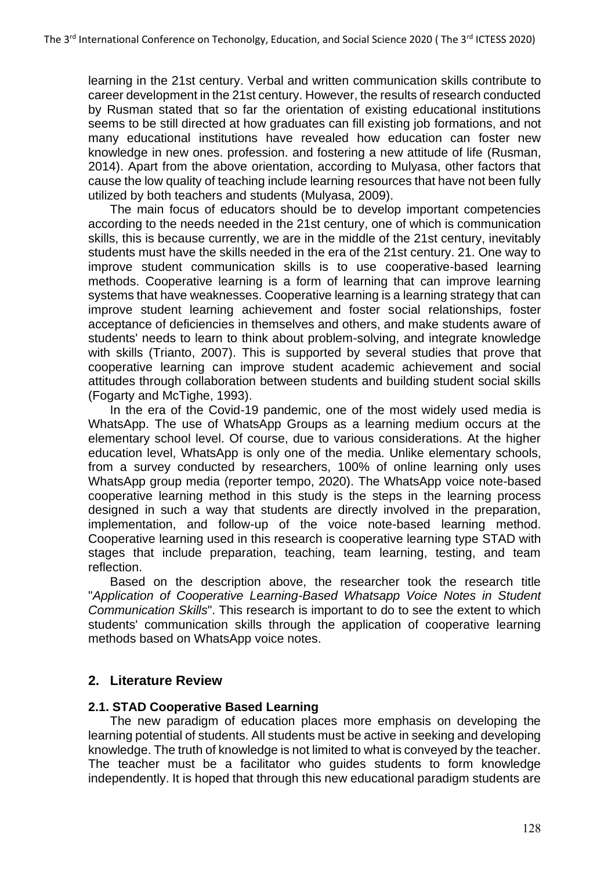learning in the 21st century. Verbal and written communication skills contribute to career development in the 21st century. However, the results of research conducted by Rusman stated that so far the orientation of existing educational institutions seems to be still directed at how graduates can fill existing job formations, and not many educational institutions have revealed how education can foster new knowledge in new ones. profession. and fostering a new attitude of life (Rusman, 2014). Apart from the above orientation, according to Mulyasa, other factors that cause the low quality of teaching include learning resources that have not been fully utilized by both teachers and students (Mulyasa, 2009).

The main focus of educators should be to develop important competencies according to the needs needed in the 21st century, one of which is communication skills, this is because currently, we are in the middle of the 21st century, inevitably students must have the skills needed in the era of the 21st century. 21. One way to improve student communication skills is to use cooperative-based learning methods. Cooperative learning is a form of learning that can improve learning systems that have weaknesses. Cooperative learning is a learning strategy that can improve student learning achievement and foster social relationships, foster acceptance of deficiencies in themselves and others, and make students aware of students' needs to learn to think about problem-solving, and integrate knowledge with skills (Trianto, 2007). This is supported by several studies that prove that cooperative learning can improve student academic achievement and social attitudes through collaboration between students and building student social skills (Fogarty and McTighe, 1993).

In the era of the Covid-19 pandemic, one of the most widely used media is WhatsApp. The use of WhatsApp Groups as a learning medium occurs at the elementary school level. Of course, due to various considerations. At the higher education level, WhatsApp is only one of the media. Unlike elementary schools, from a survey conducted by researchers, 100% of online learning only uses WhatsApp group media (reporter tempo, 2020). The WhatsApp voice note-based cooperative learning method in this study is the steps in the learning process designed in such a way that students are directly involved in the preparation, implementation, and follow-up of the voice note-based learning method. Cooperative learning used in this research is cooperative learning type STAD with stages that include preparation, teaching, team learning, testing, and team reflection.

Based on the description above, the researcher took the research title "*Application of Cooperative Learning-Based Whatsapp Voice Notes in Student Communication Skills*". This research is important to do to see the extent to which students' communication skills through the application of cooperative learning methods based on WhatsApp voice notes.

## **2. Literature Review**

#### **2.1. STAD Cooperative Based Learning**

The new paradigm of education places more emphasis on developing the learning potential of students. All students must be active in seeking and developing knowledge. The truth of knowledge is not limited to what is conveyed by the teacher. The teacher must be a facilitator who guides students to form knowledge independently. It is hoped that through this new educational paradigm students are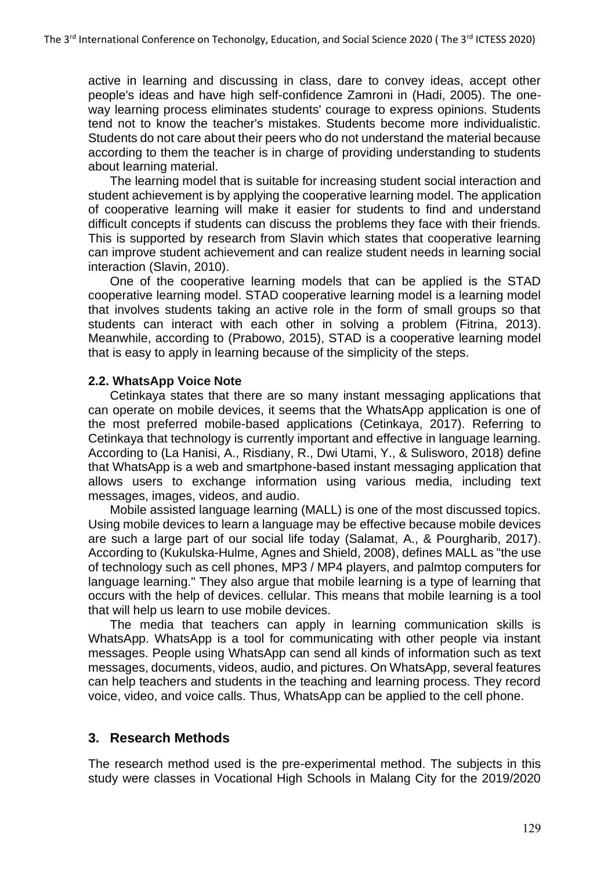active in learning and discussing in class, dare to convey ideas, accept other people's ideas and have high self-confidence Zamroni in (Hadi, 2005). The oneway learning process eliminates students' courage to express opinions. Students tend not to know the teacher's mistakes. Students become more individualistic. Students do not care about their peers who do not understand the material because according to them the teacher is in charge of providing understanding to students about learning material.

The learning model that is suitable for increasing student social interaction and student achievement is by applying the cooperative learning model. The application of cooperative learning will make it easier for students to find and understand difficult concepts if students can discuss the problems they face with their friends. This is supported by research from Slavin which states that cooperative learning can improve student achievement and can realize student needs in learning social interaction (Slavin, 2010).

One of the cooperative learning models that can be applied is the STAD cooperative learning model. STAD cooperative learning model is a learning model that involves students taking an active role in the form of small groups so that students can interact with each other in solving a problem (Fitrina, 2013). Meanwhile, according to (Prabowo, 2015), STAD is a cooperative learning model that is easy to apply in learning because of the simplicity of the steps.

#### **2.2. WhatsApp Voice Note**

Cetinkaya states that there are so many instant messaging applications that can operate on mobile devices, it seems that the WhatsApp application is one of the most preferred mobile-based applications (Cetinkaya, 2017). Referring to Cetinkaya that technology is currently important and effective in language learning. According to (La Hanisi, A., Risdiany, R., Dwi Utami, Y., & Sulisworo, 2018) define that WhatsApp is a web and smartphone-based instant messaging application that allows users to exchange information using various media, including text messages, images, videos, and audio.

Mobile assisted language learning (MALL) is one of the most discussed topics. Using mobile devices to learn a language may be effective because mobile devices are such a large part of our social life today (Salamat, A., & Pourgharib, 2017). According to (Kukulska-Hulme, Agnes and Shield, 2008), defines MALL as "the use of technology such as cell phones, MP3 / MP4 players, and palmtop computers for language learning." They also argue that mobile learning is a type of learning that occurs with the help of devices. cellular. This means that mobile learning is a tool that will help us learn to use mobile devices.

The media that teachers can apply in learning communication skills is WhatsApp. WhatsApp is a tool for communicating with other people via instant messages. People using WhatsApp can send all kinds of information such as text messages, documents, videos, audio, and pictures. On WhatsApp, several features can help teachers and students in the teaching and learning process. They record voice, video, and voice calls. Thus, WhatsApp can be applied to the cell phone.

#### **3. Research Methods**

The research method used is the pre-experimental method. The subjects in this study were classes in Vocational High Schools in Malang City for the 2019/2020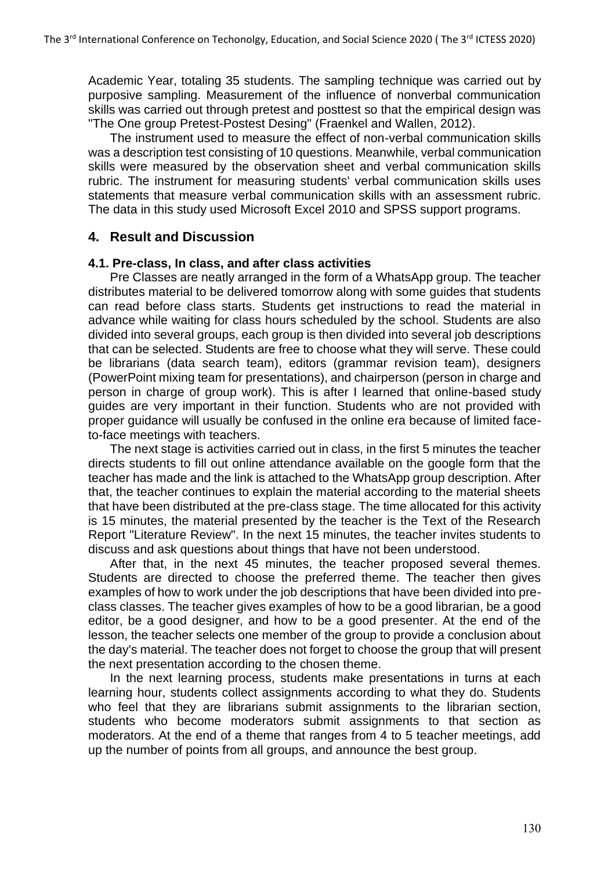Academic Year, totaling 35 students. The sampling technique was carried out by purposive sampling. Measurement of the influence of nonverbal communication skills was carried out through pretest and posttest so that the empirical design was "The One group Pretest-Postest Desing" (Fraenkel and Wallen, 2012).

The instrument used to measure the effect of non-verbal communication skills was a description test consisting of 10 questions. Meanwhile, verbal communication skills were measured by the observation sheet and verbal communication skills rubric. The instrument for measuring students' verbal communication skills uses statements that measure verbal communication skills with an assessment rubric. The data in this study used Microsoft Excel 2010 and SPSS support programs.

### **4. Result and Discussion**

#### **4.1. Pre-class, In class, and after class activities**

Pre Classes are neatly arranged in the form of a WhatsApp group. The teacher distributes material to be delivered tomorrow along with some guides that students can read before class starts. Students get instructions to read the material in advance while waiting for class hours scheduled by the school. Students are also divided into several groups, each group is then divided into several job descriptions that can be selected. Students are free to choose what they will serve. These could be librarians (data search team), editors (grammar revision team), designers (PowerPoint mixing team for presentations), and chairperson (person in charge and person in charge of group work). This is after I learned that online-based study guides are very important in their function. Students who are not provided with proper guidance will usually be confused in the online era because of limited faceto-face meetings with teachers.

The next stage is activities carried out in class, in the first 5 minutes the teacher directs students to fill out online attendance available on the google form that the teacher has made and the link is attached to the WhatsApp group description. After that, the teacher continues to explain the material according to the material sheets that have been distributed at the pre-class stage. The time allocated for this activity is 15 minutes, the material presented by the teacher is the Text of the Research Report "Literature Review". In the next 15 minutes, the teacher invites students to discuss and ask questions about things that have not been understood.

After that, in the next 45 minutes, the teacher proposed several themes. Students are directed to choose the preferred theme. The teacher then gives examples of how to work under the job descriptions that have been divided into preclass classes. The teacher gives examples of how to be a good librarian, be a good editor, be a good designer, and how to be a good presenter. At the end of the lesson, the teacher selects one member of the group to provide a conclusion about the day's material. The teacher does not forget to choose the group that will present the next presentation according to the chosen theme.

In the next learning process, students make presentations in turns at each learning hour, students collect assignments according to what they do. Students who feel that they are librarians submit assignments to the librarian section, students who become moderators submit assignments to that section as moderators. At the end of a theme that ranges from 4 to 5 teacher meetings, add up the number of points from all groups, and announce the best group.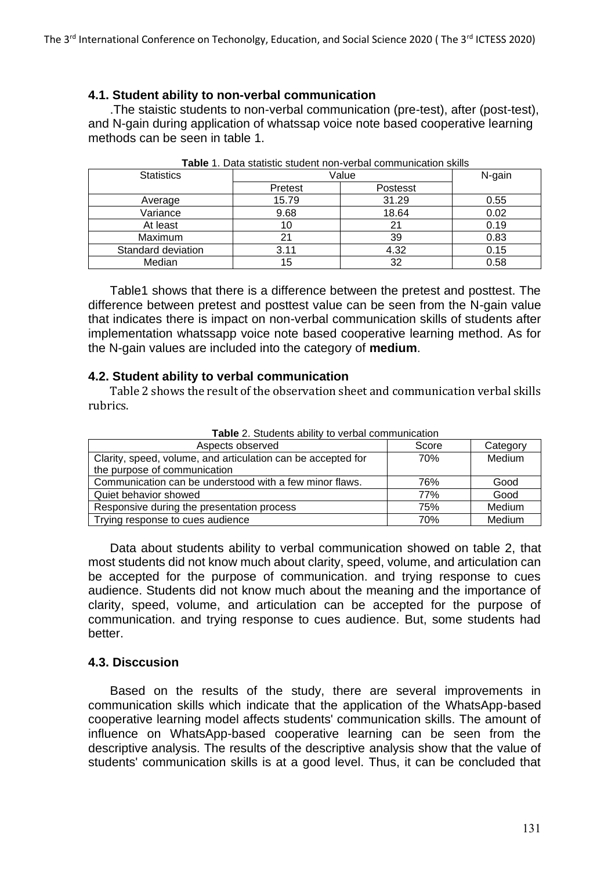#### **4.1. Student ability to non-verbal communication**

.The staistic students to non-verbal communication (pre-test), after (post-test), and N-gain during application of whatssap voice note based cooperative learning methods can be seen in table 1.

| <b>Statistics</b>  | Value   |          | N-gain |
|--------------------|---------|----------|--------|
|                    | Pretest | Postesst |        |
| Average            | 15.79   | 31.29    | 0.55   |
| Variance           | 9.68    | 18.64    | 0.02   |
| At least           | 10      | 21       | 0.19   |
| Maximum            | 21      | 39       | 0.83   |
| Standard deviation | 3.11    | 4.32     | 0.15   |
| Median             | 15      | 32       | 0.58   |

**Table** 1. Data statistic student non-verbal communication skills

Table1 shows that there is a difference between the pretest and posttest. The difference between pretest and posttest value can be seen from the N-gain value that indicates there is impact on non-verbal communication skills of students after implementation whatssapp voice note based cooperative learning method. As for the N-gain values are included into the category of **medium**.

#### **4.2. Student ability to verbal communication**

Table 2 shows the result of the observation sheet and communication verbal skills rubrics.

| $\frac{1}{2}$ and $\frac{1}{2}$ . States into applies to release communications |       |          |  |
|---------------------------------------------------------------------------------|-------|----------|--|
| Aspects observed                                                                | Score | Category |  |
| Clarity, speed, volume, and articulation can be accepted for                    | 70%   | Medium   |  |
| the purpose of communication                                                    |       |          |  |
| Communication can be understood with a few minor flaws.                         | 76%   | Good     |  |
| Quiet behavior showed                                                           | 77%   | Good     |  |
| Responsive during the presentation process                                      | 75%   | Medium   |  |
| Trying response to cues audience                                                | 70%   | Medium   |  |

**Table** 2. Students ability to verbal communication

Data about students ability to verbal communication showed on table 2, that most students did not know much about clarity, speed, volume, and articulation can be accepted for the purpose of communication. and trying response to cues audience. Students did not know much about the meaning and the importance of clarity, speed, volume, and articulation can be accepted for the purpose of communication. and trying response to cues audience. But, some students had better.

#### **4.3. Disccusion**

Based on the results of the study, there are several improvements in communication skills which indicate that the application of the WhatsApp-based cooperative learning model affects students' communication skills. The amount of influence on WhatsApp-based cooperative learning can be seen from the descriptive analysis. The results of the descriptive analysis show that the value of students' communication skills is at a good level. Thus, it can be concluded that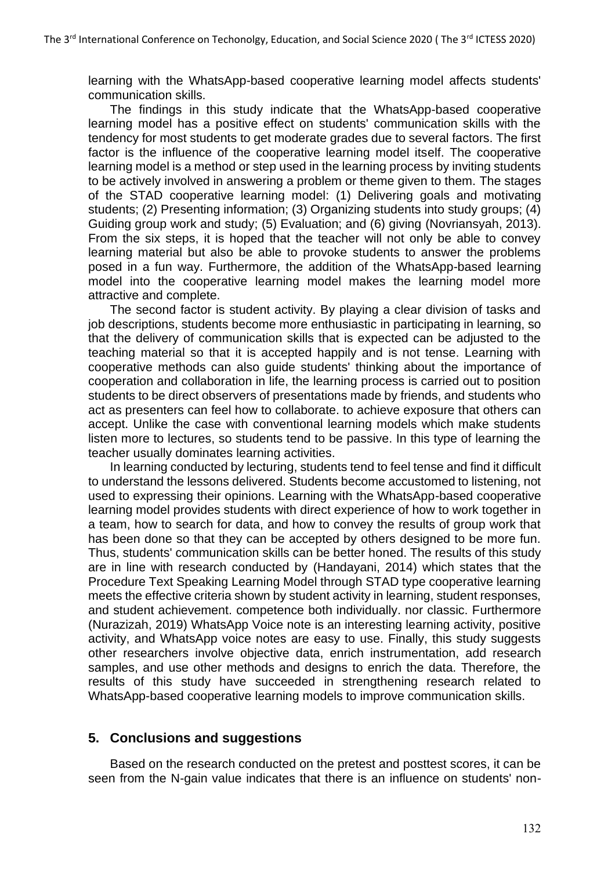learning with the WhatsApp-based cooperative learning model affects students' communication skills.

The findings in this study indicate that the WhatsApp-based cooperative learning model has a positive effect on students' communication skills with the tendency for most students to get moderate grades due to several factors. The first factor is the influence of the cooperative learning model itself. The cooperative learning model is a method or step used in the learning process by inviting students to be actively involved in answering a problem or theme given to them. The stages of the STAD cooperative learning model: (1) Delivering goals and motivating students; (2) Presenting information; (3) Organizing students into study groups; (4) Guiding group work and study; (5) Evaluation; and (6) giving (Novriansyah, 2013). From the six steps, it is hoped that the teacher will not only be able to convey learning material but also be able to provoke students to answer the problems posed in a fun way. Furthermore, the addition of the WhatsApp-based learning model into the cooperative learning model makes the learning model more attractive and complete.

The second factor is student activity. By playing a clear division of tasks and job descriptions, students become more enthusiastic in participating in learning, so that the delivery of communication skills that is expected can be adjusted to the teaching material so that it is accepted happily and is not tense. Learning with cooperative methods can also guide students' thinking about the importance of cooperation and collaboration in life, the learning process is carried out to position students to be direct observers of presentations made by friends, and students who act as presenters can feel how to collaborate. to achieve exposure that others can accept. Unlike the case with conventional learning models which make students listen more to lectures, so students tend to be passive. In this type of learning the teacher usually dominates learning activities.

In learning conducted by lecturing, students tend to feel tense and find it difficult to understand the lessons delivered. Students become accustomed to listening, not used to expressing their opinions. Learning with the WhatsApp-based cooperative learning model provides students with direct experience of how to work together in a team, how to search for data, and how to convey the results of group work that has been done so that they can be accepted by others designed to be more fun. Thus, students' communication skills can be better honed. The results of this study are in line with research conducted by (Handayani, 2014) which states that the Procedure Text Speaking Learning Model through STAD type cooperative learning meets the effective criteria shown by student activity in learning, student responses, and student achievement. competence both individually. nor classic. Furthermore (Nurazizah, 2019) WhatsApp Voice note is an interesting learning activity, positive activity, and WhatsApp voice notes are easy to use. Finally, this study suggests other researchers involve objective data, enrich instrumentation, add research samples, and use other methods and designs to enrich the data. Therefore, the results of this study have succeeded in strengthening research related to WhatsApp-based cooperative learning models to improve communication skills.

#### **5. Conclusions and suggestions**

Based on the research conducted on the pretest and posttest scores, it can be seen from the N-gain value indicates that there is an influence on students' non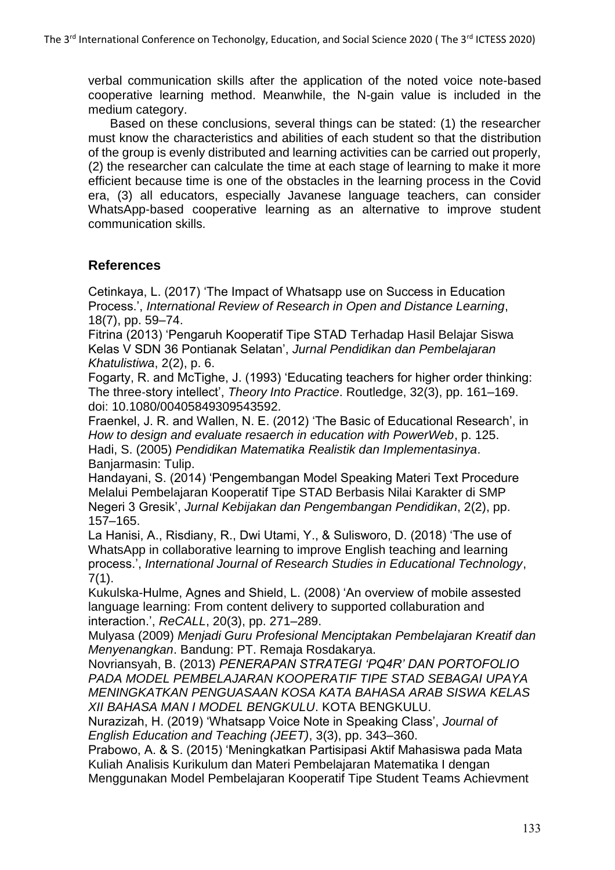verbal communication skills after the application of the noted voice note-based cooperative learning method. Meanwhile, the N-gain value is included in the medium category.

Based on these conclusions, several things can be stated: (1) the researcher must know the characteristics and abilities of each student so that the distribution of the group is evenly distributed and learning activities can be carried out properly, (2) the researcher can calculate the time at each stage of learning to make it more efficient because time is one of the obstacles in the learning process in the Covid era, (3) all educators, especially Javanese language teachers, can consider WhatsApp-based cooperative learning as an alternative to improve student communication skills.

## **References**

Cetinkaya, L. (2017) 'The Impact of Whatsapp use on Success in Education Process.', *International Review of Research in Open and Distance Learning*, 18(7), pp. 59–74.

Fitrina (2013) 'Pengaruh Kooperatif Tipe STAD Terhadap Hasil Belajar Siswa Kelas V SDN 36 Pontianak Selatan', *Jurnal Pendidikan dan Pembelajaran Khatulistiwa*, 2(2), p. 6.

Fogarty, R. and McTighe, J. (1993) 'Educating teachers for higher order thinking: The three‐story intellect', *Theory Into Practice*. Routledge, 32(3), pp. 161–169. doi: 10.1080/00405849309543592.

Fraenkel, J. R. and Wallen, N. E. (2012) 'The Basic of Educational Research', in *How to design and evaluate resaerch in education with PowerWeb*, p. 125. Hadi, S. (2005) *Pendidikan Matematika Realistik dan Implementasinya*. Banjarmasin: Tulip.

Handayani, S. (2014) 'Pengembangan Model Speaking Materi Text Procedure Melalui Pembelajaran Kooperatif Tipe STAD Berbasis Nilai Karakter di SMP Negeri 3 Gresik', *Jurnal Kebijakan dan Pengembangan Pendidikan*, 2(2), pp. 157–165.

La Hanisi, A., Risdiany, R., Dwi Utami, Y., & Sulisworo, D. (2018) 'The use of WhatsApp in collaborative learning to improve English teaching and learning process.', *International Journal of Research Studies in Educational Technology*, 7(1).

Kukulska-Hulme, Agnes and Shield, L. (2008) 'An overview of mobile assested language learning: From content delivery to supported collaburation and interaction.', *ReCALL*, 20(3), pp. 271–289.

Mulyasa (2009) *Menjadi Guru Profesional Menciptakan Pembelajaran Kreatif dan Menyenangkan*. Bandung: PT. Remaja Rosdakarya.

Novriansyah, B. (2013) *PENERAPAN STRATEGI 'PQ4R' DAN PORTOFOLIO PADA MODEL PEMBELAJARAN KOOPERATIF TIPE STAD SEBAGAI UPAYA MENINGKATKAN PENGUASAAN KOSA KATA BAHASA ARAB SISWA KELAS XII BAHASA MAN I MODEL BENGKULU*. KOTA BENGKULU.

Nurazizah, H. (2019) 'Whatsapp Voice Note in Speaking Class', *Journal of English Education and Teaching (JEET)*, 3(3), pp. 343–360.

Prabowo, A. & S. (2015) 'Meningkatkan Partisipasi Aktif Mahasiswa pada Mata Kuliah Analisis Kurikulum dan Materi Pembelajaran Matematika I dengan Menggunakan Model Pembelajaran Kooperatif Tipe Student Teams Achievment